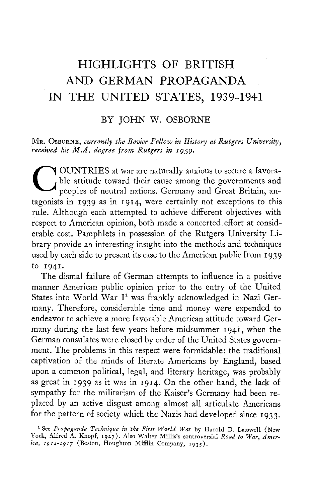# **HIGHLIGHTS OF BRITISH AND GERMAN PROPAGANDA IN THE UNITED STATES, 1939-1941**

# BY JOHN W. OSBORNE

#### MR. OSBORNE, *currently the Bevier Fellow in History at Rutgers University} received his M.A. degree from Rutgers in 1959.*

OUNTRIES at war are naturally anxious to secure a favorable attitude toward their cause among the governments and peoples of neutral nations. Germany and Great Britain, antagonists in 1939 as in 1914, were certainly not exceptions to this rule. Although each attempted to achieve different objectives with respect to American opinion, both made a concerted effort at considerable cost. Pamphlets in possession of the Rutgers University Library provide an interesting insight into the methods and techniques used by each side to present its case to the American public from 1939 to 1941.

The dismal failure of German attempts to influence in a positive manner American public opinion prior to the entry of the United States into World War I<sup>1</sup> was frankly acknowledged in Nazi Germany. Therefore, considerable time and money were expended to endeavor to achieve a more favorable American attitude toward Germany during the last few years before midsummer 1941, when the German consulates were closed by order of the United States government. The problems in this respect were formidable: the traditional captivation of the minds of literate Americans by England, based upon a common political, legal, and literary heritage, was probably as great in 1939 as it was in 1914. On the other hand, the lack of sympathy for the militarism of the Kaiser's Germany had been replaced by an active disgust among almost all articulate Americans for the pattern of society which the Nazis had developed since 1933.

<sup>1</sup> See *Profaganda Technique in the First World War* by Harold D. Lasswell (New York, Alfred A. Knopf, 1927). Also Walter Millis's controversial *Road to War, America*, *iç14-191*7 (Boston, Houghton Mifflin Company, 1935).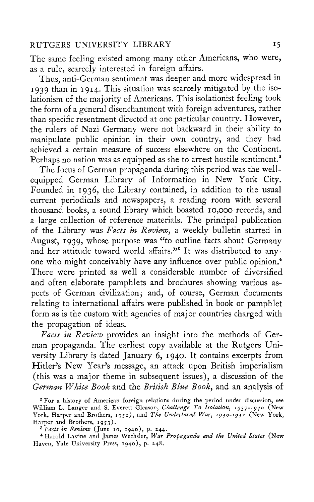The same feeling existed among many other Americans, who were, as a rule, scarcely interested in foreign affairs.

Thus, anti-German sentiment was deeper and more widespread in 1939 than in 1914. This situation was scarcely mitigated by the isolationism of the majority of Americans. This isolationist feeling took the form of a general disenchantment with foreign adventures, rather than specific resentment directed at one particular country. However, the rulers of Nazi Germany were not backward in their ability to manipulate public opinion in their own country, and they had achieved a certain measure of success elsewhere on the Continent. Perhaps no nation was as equipped as she to arrest hostile sentiment.<sup>2</sup>

The focus of German propaganda during this period was the wellequipped German Library of Information in New York City. Founded in 1936, the Library contained, in addition to the usual current periodicals and newspapers, a reading room with several thousand books, a sound library which boasted 10,000 records, and a large collection of reference materials. The principal publication of the Library was *Facts in Review*, a weekly bulletin started in August, 1939, whose purpose was "to outline facts about Germany and her attitude toward world affairs."<sup>3</sup> It was distributed to anyone who might conceivably have any influence over public opinion.<sup>4</sup> There were printed as well a considerable number of diversified and often elaborate pamphlets and brochures showing various aspects of German civilization; and, of course, German documents relating to international affairs were published in book or pamphlet form as is the custom with agencies of major countries charged with the propagation of ideas.

*Facts in Review* provides an insight into the methods of German propaganda. The earliest copy available at the Rutgers University Library is dated January 6, 1940. It contains excerpts from Hitler's New Year's message, an attack upon British imperialism (this was a major theme in subsequent issues), a discussion of the *German White Book* and the *British Blue Book*, and an analysis of

<sup>2</sup> For a history of American foreign relations during the period under discussion, see William L. Langer and S. Everett Gleason, *Challenge To Isolation, 1937-1940* (New York, Harper and Brothers, 1952), and *The Undeclared War, 1940-1941* (New York, Harper and Brothers, 1953).

*<sup>3</sup> Facts in Review* (June 10, 1940), p. 244.

<sup>4</sup> Harold Lavine and James Wechsler, *War Propaganda and the United States* (New Haven, Yale University Press, 1940), p. 248.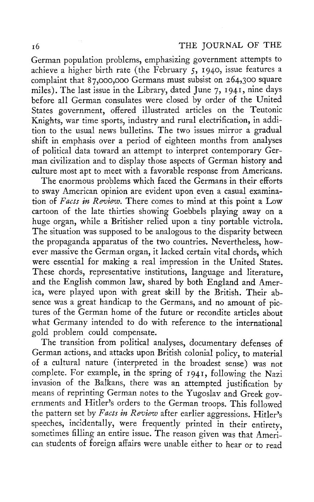German population problems, emphasizing government attempts to achieve a higher birth rate (the February 5, 1940, issue features a complaint that 87,000,000 Germans must subsist on 264,300 square miles). The last issue in the Library, dated June  $7$ , 1941, nine days before all German consulates were closed by order of the United States government, offered illustrated articles on the Teutonic Knights, war time sports, industry and rural electrification, in addition to the usual news bulletins. The two issues mirror a gradual shift in emphasis over a period of eighteen months from analyses of political data toward an attempt to interpret contemporary German civilization and to display those aspects of German history and culture most apt to meet with a favorable response from Americans.

The enormous problems which faced the Germans in their efforts to sway American opinion are evident upon even a casual examination of *Facts in Review.* There comes to mind at this point a Low cartoon of the late thirties showing Goebbels playing away on a huge organ, while a Britisher relied upon a tiny portable victrola. The situation was supposed to be analogous to the disparity between the propaganda apparatus of the two countries. Nevertheless, however massive the German organ, it lacked certain vital chords, which were essential for making a real impression in the United States. These chords, representative institutions, language and literature, and the English common law, shared by both England and America, were played upon with great skill by the British. Their absence was a great handicap to the Germans, and no amount of pictures of the German home of the future or recondite articles about what Germany intended to do with reference to the international gold problem could compensate.

The transition from political analyses, documentary defenses of German actions, and attacks upon British colonial policy, to material of a cultural nature (interpreted in the broadest sense) was not complete. For example, in the spring of 1941, following the Nazi invasion of the Balkans, there was an attempted justification by means of reprinting German notes to the Yugoslav and Greek governments and Hitler's orders to the German troops. This followed the pattern set by *Facts in Review* after earlier aggressions. Hitler's speeches, incidentally, were frequently printed in their entirety, sometimes filling an entire issue. The reason given was that American students of foreign affairs were unable either to hear or to read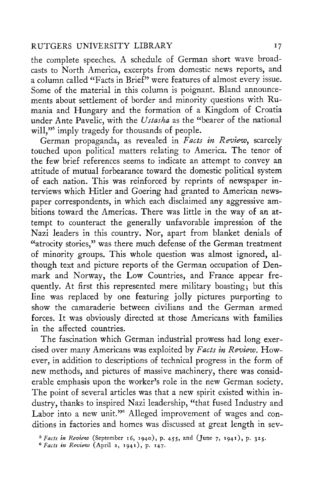the complete speeches. A schedule of German short wave broadcasts to North America, excerpts from domestic news reports, and a column called "Facts in Brief" were features of almost every issue. Some of the material in this column is poignant. Bland announcements about settlement of border and minority questions with Rumania and Hungary and the formation of a Kingdom of Croatia under Ante Pavelic, with the *Ustasha* as the "bearer of the national will," imply tragedy for thousands of people.

German propaganda, as revealed in *Facts in Review*, scarcely touched upon political matters relating to America. The tenor of the few brief references seems to indicate an attempt to convey an the few brief references seems to indicate an attempt to convey an attitude of mutual forbearance toward the domestic political system of each nation. This was reinforced by reprints of newspaper interviews which Hitler and Goering had granted to American newspaper correspondents, in which each disclaimed any aggressive ambitions toward the Americas. There was little in the way of an atbitions toward the Americas. There was little in the way of an attempt to counteract the generally unfavorable impression of the Nazi leaders in this country. Nor, apart from blanket denials of atrocity stories," was there much defense of the German treatment of minority groups. This whole question was almost ignored, although text and picture reports of the German occupation of Denmark and Norway, the Low Countries, and France appear frequently. At first this represented mere military boasting; but this line was replaced by one featuring jolly pictures purporting to show the camaraderie between civilians and the German armed forces. It was obviously directed at those Americans with families in the affected countries.

The fascination which German industrial prowess had long exercised over many Americans was exploited by *Facts in Review.* However, in addition to descriptions of technical progress in the form of new methods, and pictures of massive machinery, there was considerable emphasis upon the worker's role in the new German society. The point of several articles was that a new spirit existed within industry, thanks to inspired Nazi leadership, "that fused Industry and Labor into a new unit."<sup>6</sup> Alleged improvement of wages and conditions in factories and homes was discussed at great length in sev-

*<sup>5</sup> Facts in Review* (September 16, 1940), p. 455, and (June 7, 1941), p. 325.

*<sup>6</sup> Facts in Review* (April 2, 1941), p. 147.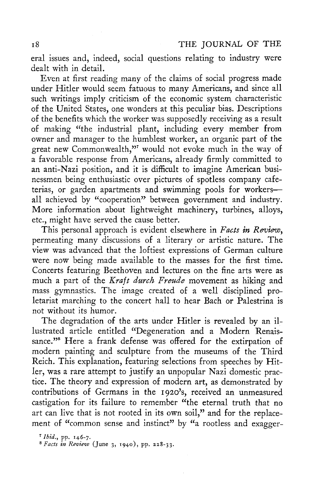eral issues and, indeed, social questions relating to industry were dealt with in detail.

Even at first reading many of the claims of social progress made under Hitler would seem fatuous to many Americans, and since all such writings imply criticism of the economic system characteristic of the United States, one wonders at this peculiar bias. Descriptions of the benefits which the worker was supposedly receiving as a result of making "the industrial plant, including every member from owner and manager to the humblest worker, an organic part of the great new Commonwealth," would not evoke much in the way of a favorable response from Americans, already firmly committed to an anti-Nazi position, and it is difficult to imagine American businessmen being enthusiastic over pictures of spotless company cafeterias, or garden apartments and swimming pools for workers all achieved by "cooperation" between government and industry. More information about lightweight machinery, turbines, alloys, etc., might have served the cause better.

This personal approach is evident elsewhere in *Facts in Review,*  permeating many discussions of a literary or artistic nature. The view was advanced that the loftiest expressions of German culture were now being made available to the masses for the first time. Concerts featuring Beethoven and lectures on the fine arts were as much a part of the *Kraft durch Freude* movement as hiking and mass gymnastics. The image created of a well disciplined proletariat marching to the concert hall to hear Bach or Palestrina is not without its humor.

The degradation of the arts under Hitler is revealed by an illustrated article entitled "Degeneration and a Modern Renaissance."<sup>8</sup> Here a frank defense was offered for the extirpation of modern painting and sculpture from the museums of the Third Reich. This explanation, featuring selections from speeches by Hitler, was a rare attempt to justify an unpopular Nazi domestic practice. The theory and expression of modern art, as demonstrated by contributions of Germans in the 1920's, received an unmeasured castigation for its failure to remember "the eternal truth that no art can live that is not rooted in its own soil," and for the replacement of "common sense and instinct" by "a rootless and exagger-

<sup>7</sup> *Ibid.*, pp. 146-7.

*8 Facts in Review* (June 3, 1940), pp. 228-33.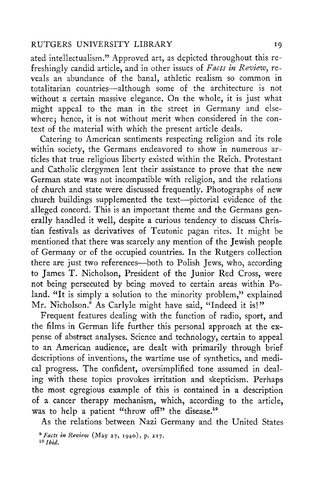ated intellectualism." Approved art, as depicted throughout this refreshingly candid article, and in other issues of *Facts in Review*, reveals an abundance of the banal, athletic realism so common in totalitarian countries—although some of the architecture is not without a certain massive elegance. On the whole, it is just what might appeal to the man in the street in Germany and elsewhere; hence, it is not without merit when considered in the context of the material with which the present article deals.

Catering to American sentiments respecting religion and its role within society, the Germans endeavored to show in numerous articles that true religious liberty existed within the Reich. Protestant and Catholic clergymen lent their assistance to prove that the new German state was not incompatible with religion, and the relations of church and state were discussed frequently. Photographs of new church buildings supplemented the text—pictorial evidence of the alleged concord. This is an important theme and the Germans generally handled it well, despite a curious tendency to discuss Chriserally handled it well, despite a curious tendency to discuss Christian festivals as derivatives of Teutonic pagan rites. It might be mentioned that there was scarcely any mention of the Jewish people of Germany or of the occupied countries. In the Rutgers collection there are just two references—both to Polish Jews, who, according to James T. Nicholson, President of the Junior Red Cross, were not being persecuted by being moved to certain areas within Poland. "It is simply a solution to the minority problem," explained Mr. Nicholson.<sup>9</sup> As Carlyle might have said, "Indeed it is!"

Frequent features dealing with the function of radio, sport, and the films in German life further this personal approach at the expense of abstract analyses. Science and technology, certain to appeal to an American audience, are dealt with primarily through brief descriptions of inventions, the wartime use of synthetics, and medical progress. The confident, oversimplified tone assumed in dealing with these topics provokes irritation and skepticism. Perhaps the most egregious example of this is contained in a description of a cancer therapy mechanism, which, according to the article, was to help a patient "throw off" the disease.<sup>10</sup>

As the relations between Nazi Germany and the United States

<sup>&</sup>lt;sup>9</sup> Facts in Review (May 27, 1940), p. 217. *10 Ibid.*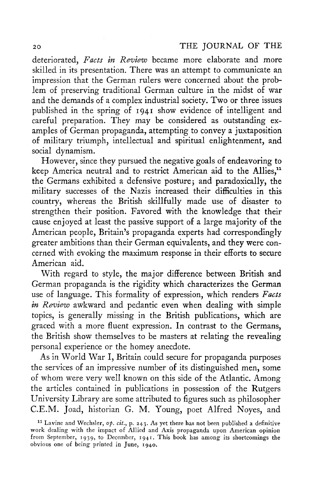deteriorated, *Facts in Review* became more elaborate and more skilled in its presentation. There was an attempt to communicate an impression that the German rulers were concerned about the problem of preserving traditional German culture in the midst of war and the demands of a complex industrial society. Two or three issues published in the spring of 1941 show evidence of intelligent and careful preparation. They may be considered as outstanding examples of German propaganda, attempting to convey a juxtaposition of military triumph, intellectual and spiritual enlightenment, and social dynamism.

However, since they pursued the negative goals of endeavoring to keep America neutral and to restrict American aid to the Allies,<sup>11</sup> the Germans exhibited a defensive posture; and paradoxically, the military successes of the Nazis increased their difficulties in this country, whereas the British skillfully made use of disaster to strengthen their position. Favored with the knowledge that their cause enjoyed at least the passive support of a large majority of the American people, Britain's propaganda experts had correspondingly greater ambitions than their German equivalents, and they were concerned with evoking the maximum response in their efforts to secure American aid.

With regard to style, the major difference between British and German propaganda is the rigidity which characterizes the German use of language. This formality of expression, which renders *Facts in Review* awkward and pedantic even when dealing with simple topics, is generally missing in the British publications, which are graced with a more fluent expression. In contrast to the Germans, the British show themselves to be masters at relating the revealing personal experience or the homey anecdote.

As in World War I, Britain could secure for propaganda purposes the services of an impressive number of its distinguished men, some of whom were very well known on this side of the Atlantic. Among the articles contained in publications in possession of the Rutgers University Library are some attributed to figures such as philosopher C.E.M. Joad, historian G. M. Young, poet Alfred Noyes, and

<sup>&</sup>lt;sup>11</sup> Lavine and Wechsler, *op. cit.*, p. 243. As yet there has not been published a definitive work dealing with the impact of Allied and Axis propaganda upon American opinion from September, 1939, to December, 1941. This book has among its shortcomings the obvious one of being printed in June, 1940.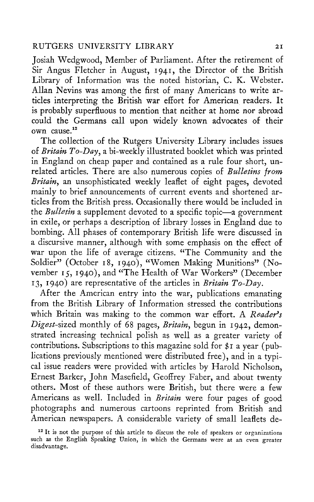Josiah Wedgwood, Member of Parliament. After the retirement of Sir Angus Fletcher in August, 1941, the Director of the British Library of Information was the noted historian, C. K. Webster. Allan Nevins was among the first of many Americans to write articles interpreting the British war effort for American readers. It is probably superfluous to mention that neither at home nor abroad could the Germans call upon widely known advocates of their own cause.<sup>12</sup>

The collection of the Rutgers University Library includes issues of *Britain To-Dayy* a bi-weekly illustrated booklet which was printed in England on cheap paper and contained as a rule four short, unrelated articles. There are also numerous copies of *Bulletins from Britain,*, an unsophisticated weekly leaflet of eight pages, devoted mainly to brief announcements of current events and shortened articles from the British press. Occasionally there would be included in the *Bulletin* a supplement devoted to a specific topic—a government in exile, or perhaps a description of library losses in England due to bombing. All phases of contemporary British life were discussed in a discursive manner, although with some emphasis on the effect of war upon the life of average citizens. "The Community and the Soldier" (October 18, 1940), "Women Making Munitions" (November 15, 1940), and "The Health of War Workers" (December 13, 1940) are representative of the articles in *Britain To-Day.* 

After the American entry into the war, publications emanating from the British Library of Information stressed the contributions which Britain was making to the common war effort. A *Reader's Digest-sized* monthly of 68 pages, *Britain*, begun in 1942, demonstrated increasing technical polish as well as a greater variety of contributions. Subscriptions to this magazine sold for \$1 a year (publications previously mentioned were distributed free), and in a typical issue readers were provided with articles by Harold Nicholson, Ernest Barker, John Masefield, Geoffrey Faber, and about twenty others. Most of these authors were British, but there were a few Americans as well. Included in *Britain* were four pages of good photographs and numerous cartoons reprinted from British and American newspapers. A considerable variety of small leaflets de-

<sup>&</sup>lt;sup>12</sup> It is not the purpose of this article to discuss the role of speakers or organizations such as the English Speaking Union, in which the Germans were at an even greater disadvantage.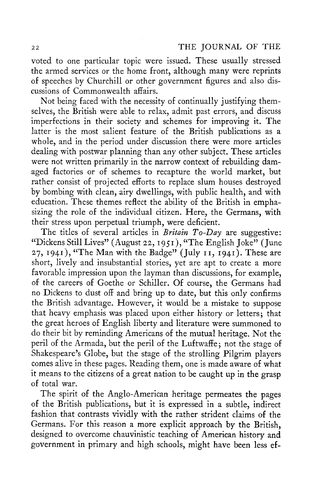voted to one particular topic were issued. These usually stressed the armed services or the home front, although many were reprints of speeches by Churchill or other government figures and also discussions of Commonwealth affairs.

Not being faced with the necessity of continually justifying themselves, the British were able to relax, admit past errors, and discuss imperfections in their society and schemes for improving it. The latter is the most salient feature of the British publications as a whole, and in the period under discussion there were more articles dealing with postwar planning than any other subject. These articles were not written primarily in the narrow context of rebuilding damaged factories or of schemes to recapture the world market, but rather consist of projected efforts to replace slum houses destroyed by bombing with clean, airy dwellings, with public health, and with education. These themes reflect the ability of the British in emphasizing the role of the individual citizen. Here, the Germans, with their stress upon perpetual triumph, were deficient.

The titles of several articles in *Britain To-Day* are suggestive: "Dickens Still Lives" (August 22, 1951), "The English Joke" (June 27, 1941), "The Man with the Badge" (July 11, 1941). These are short, lively and insubstantial stories, yet are apt to create a more favorable impression upon the layman than discussions, for example, of the careers of Goethe or Schiller. Of course, the Germans had no Dickens to dust off and bring up to date, but this only confirms the British advantage. However, it would be a mistake to suppose that heavy emphasis was placed upon either history or letters; that the great heroes of English liberty and literature were summoned to do their bit by reminding Americans of the mutual heritage. Not the peril of the Armada, but the peril of the Luftwaffe; not the stage of Shakespeare's Globe, but the stage of the strolling Pilgrim players comes alive in these pages. Reading them, one is made aware of what it means to the citizens of a great nation to be caught up in the grasp of total war.

The spirit of the Anglo-American heritage permeates the pages of the British publications, but it is expressed in a subtle, indirect fashion that contrasts vividly with the rather strident claims of the Germans. For this reason a more explicit approach by the British, designed to overcome chauvinistic teaching of American history and government in primary and high schools, might have been less ef